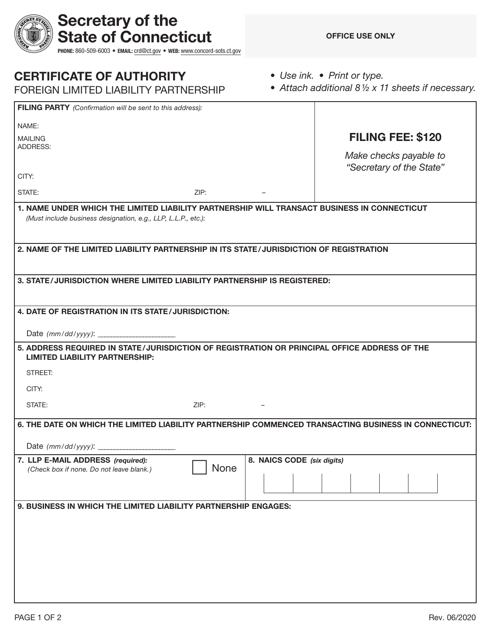| <b>CERTIFICATE OF AUTHORITY</b>             |
|---------------------------------------------|
| EODEIONI I IMITED I IADII ITV DADTNIEDOLIID |

Secretary of the

State of Connecticut

PHONE: 860-509-6003 • EMAIL: [crd@ct.gov](mailto:crd@ct.gov) • WEB: [www.concord-sots.ct.gov](http://www.concord-sots.ct.gov)

*• Use ink. • Print or type.* 

| <b>FOREIGN LIMITED LIABILITY PARTNERSHIP</b>                                                                                                                 |      |  | • Attach additional $8\frac{1}{2} \times 11$ sheets if necessary. |                          |  |
|--------------------------------------------------------------------------------------------------------------------------------------------------------------|------|--|-------------------------------------------------------------------|--------------------------|--|
| FILING PARTY (Confirmation will be sent to this address):                                                                                                    |      |  |                                                                   |                          |  |
| NAME:                                                                                                                                                        |      |  |                                                                   |                          |  |
| <b>MAILING</b><br><b>ADDRESS:</b>                                                                                                                            |      |  |                                                                   | <b>FILING FEE: \$120</b> |  |
|                                                                                                                                                              |      |  |                                                                   | Make checks payable to   |  |
| CITY:                                                                                                                                                        |      |  |                                                                   | "Secretary of the State" |  |
| STATE:                                                                                                                                                       | ZIP: |  |                                                                   |                          |  |
| 1. NAME UNDER WHICH THE LIMITED LIABILITY PARTNERSHIP WILL TRANSACT BUSINESS IN CONNECTICUT<br>(Must include business designation, e.g., LLP, L.L.P., etc.): |      |  |                                                                   |                          |  |
| 2. NAME OF THE LIMITED LIABILITY PARTNERSHIP IN ITS STATE/JURISDICTION OF REGISTRATION                                                                       |      |  |                                                                   |                          |  |
| 3. STATE/JURISDICTION WHERE LIMITED LIABILITY PARTNERSHIP IS REGISTERED:                                                                                     |      |  |                                                                   |                          |  |
| 4. DATE OF REGISTRATION IN ITS STATE/JURISDICTION:                                                                                                           |      |  |                                                                   |                          |  |
| Date (mm/dd/yyyy): __________                                                                                                                                |      |  |                                                                   |                          |  |
| 5. ADDRESS REQUIRED IN STATE/JURISDICTION OF REGISTRATION OR PRINCIPAL OFFICE ADDRESS OF THE<br><b>LIMITED LIABILITY PARTNERSHIP:</b>                        |      |  |                                                                   |                          |  |
| STREET:                                                                                                                                                      |      |  |                                                                   |                          |  |
| CITY:                                                                                                                                                        |      |  |                                                                   |                          |  |
| STATE:                                                                                                                                                       | ZIP: |  |                                                                   |                          |  |
| 6. THE DATE ON WHICH THE LIMITED LIABILITY PARTNERSHIP COMMENCED TRANSACTING BUSINESS IN CONNECTICUT:                                                        |      |  |                                                                   |                          |  |
| Date (mm/dd/yyyy):                                                                                                                                           |      |  |                                                                   |                          |  |
| 7. LLP E-MAIL ADDRESS (required):<br>8. NAICS CODE (six digits)<br>None                                                                                      |      |  |                                                                   |                          |  |
| (Check box if none. Do not leave blank.)                                                                                                                     |      |  |                                                                   |                          |  |
| 9. BUSINESS IN WHICH THE LIMITED LIABILITY PARTNERSHIP ENGAGES:                                                                                              |      |  |                                                                   |                          |  |
|                                                                                                                                                              |      |  |                                                                   |                          |  |
|                                                                                                                                                              |      |  |                                                                   |                          |  |
|                                                                                                                                                              |      |  |                                                                   |                          |  |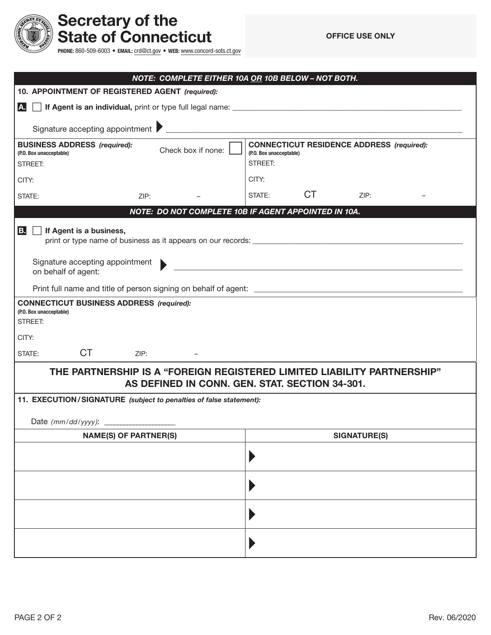

## Secretary of the State of Connecticut

PHONE: 860-509-6003 • EMAIL: [crd@ct.gov](mailto:crd@ct.gov) • WEB: [www.concord-sots.ct.gov](http://www.concord-sots.ct.gov)

|                                                                                                                                                                                           | NOTE: COMPLETE EITHER 10A OR 10B BELOW - NOT BOTH. |  |  |  |  |
|-------------------------------------------------------------------------------------------------------------------------------------------------------------------------------------------|----------------------------------------------------|--|--|--|--|
| 10. APPOINTMENT OF REGISTERED AGENT (required):                                                                                                                                           |                                                    |  |  |  |  |
| A.                                                                                                                                                                                        |                                                    |  |  |  |  |
|                                                                                                                                                                                           |                                                    |  |  |  |  |
| <b>CONNECTICUT RESIDENCE ADDRESS (required):</b><br><b>BUSINESS ADDRESS (required):</b><br>Check box if none:<br>(P.O. Box unacceptable)<br>(P.O. Box unacceptable)<br>STREET:<br>STREET: |                                                    |  |  |  |  |
| CITY:                                                                                                                                                                                     | CITY:                                              |  |  |  |  |
| STATE:<br>ZIP:                                                                                                                                                                            | <b>CT</b><br>STATE:<br>ZIP:                        |  |  |  |  |
| NOTE: DO NOT COMPLETE 10B IF AGENT APPOINTED IN 10A.                                                                                                                                      |                                                    |  |  |  |  |
| B.<br>If Agent is a business,<br>Signature accepting appointment<br>on behalf of agent:                                                                                                   |                                                    |  |  |  |  |
|                                                                                                                                                                                           |                                                    |  |  |  |  |
| <b>CONNECTICUT BUSINESS ADDRESS (required):</b><br>(P.O. Box unacceptable)<br>STREET:<br>CITY:                                                                                            |                                                    |  |  |  |  |
| <b>CT</b><br>STATE:<br>ZIP:                                                                                                                                                               |                                                    |  |  |  |  |
| THE PARTNERSHIP IS A "FOREIGN REGISTERED LIMITED LIABILITY PARTNERSHIP"<br>AS DEFINED IN CONN. GEN. STAT. SECTION 34-301.                                                                 |                                                    |  |  |  |  |
| 11. EXECUTION/SIGNATURE (subject to penalties of false statement):                                                                                                                        |                                                    |  |  |  |  |
|                                                                                                                                                                                           |                                                    |  |  |  |  |
| <b>NAME(S) OF PARTNER(S)</b>                                                                                                                                                              | <b>SIGNATURE(S)</b>                                |  |  |  |  |
|                                                                                                                                                                                           |                                                    |  |  |  |  |
|                                                                                                                                                                                           |                                                    |  |  |  |  |
|                                                                                                                                                                                           |                                                    |  |  |  |  |
|                                                                                                                                                                                           |                                                    |  |  |  |  |